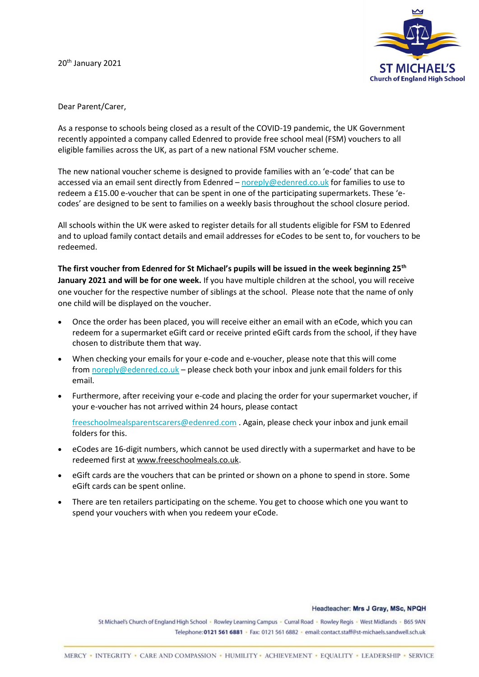20<sup>th</sup> January 2021



## Dear Parent/Carer,

As a response to schools being closed as a result of the COVID-19 pandemic, the UK Government recently appointed a company called Edenred to provide free school meal (FSM) vouchers to all eligible families across the UK, as part of a new national FSM voucher scheme.

The new national voucher scheme is designed to provide families with an 'e-code' that can be accessed via an email sent directly from Edenred – [noreply@edenred.co.uk](mailto:noreply@edenred.co.uk) for families to use to redeem a £15.00 e-voucher that can be spent in one of the participating supermarkets. These 'ecodes' are designed to be sent to families on a weekly basis throughout the school closure period.

All schools within the UK were asked to register details for all students eligible for FSM to Edenred and to upload family contact details and email addresses for eCodes to be sent to, for vouchers to be redeemed.

**The first voucher from Edenred for St Michael's pupils will be issued in the week beginning 25th January 2021 and will be for one week.** If you have multiple children at the school, you will receive one voucher for the respective number of siblings at the school. Please note that the name of only one child will be displayed on the voucher.

- Once the order has been placed, you will receive either an email with an eCode, which you can redeem for a supermarket eGift card or receive printed eGift cards from the school, if they have chosen to distribute them that way.
- When checking your emails for your e-code and e-voucher, please note that this will come from [noreply@edenred.co.uk](mailto:noreply@edenred.co.uk) – please check both your inbox and junk email folders for this email.
- Furthermore, after receiving your e-code and placing the order for your supermarket voucher, if your e-voucher has not arrived within 24 hours, please contact

[freeschoolmealsparentscarers@edenred.com](mailto:freeschoolmealsparentscarers@edenred.com) . Again, please check your inbox and junk email folders for this.

- eCodes are 16-digit numbers, which cannot be used directly with a supermarket and have to be redeemed first at [www.freeschoolmeals.co.uk.](http://www.freeschoolmeals.co.uk/)
- eGift cards are the vouchers that can be printed or shown on a phone to spend in store. Some eGift cards can be spent online.
- There are ten retailers participating on the scheme. You get to choose which one you want to spend your vouchers with when you redeem your eCode.

## Headteacher: Mrs J Gray, MSc, NPQH

St Michael's Church of England High School - Rowley Learning Campus - Curral Road - Rowley Regis - West Midlands - B65 9AN Telephone: 0121 561 6881 · Fax: 0121 561 6882 · email: contact.staff@st-michaels.sandwell.sch.uk